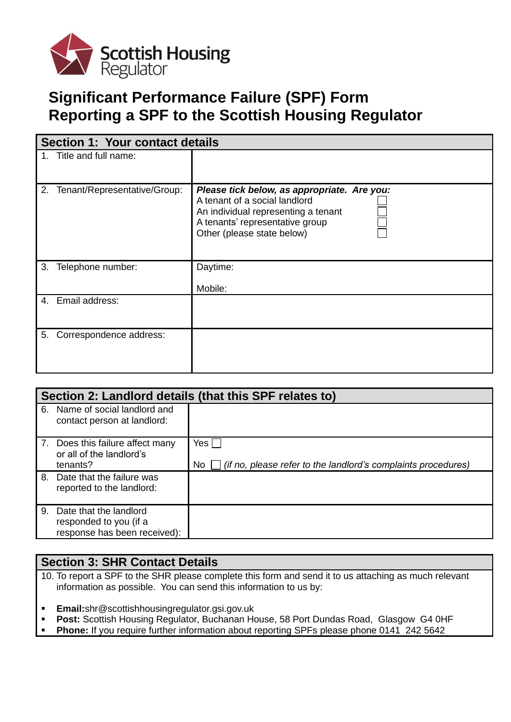

# **Significant Performance Failure (SPF) Form Reporting a SPF to the Scottish Housing Regulator**

| <b>Section 1: Your contact details</b> |                              |                                                                                                                                                                                      |  |
|----------------------------------------|------------------------------|--------------------------------------------------------------------------------------------------------------------------------------------------------------------------------------|--|
|                                        | 1. Title and full name:      |                                                                                                                                                                                      |  |
| 2.                                     | Tenant/Representative/Group: | Please tick below, as appropriate. Are you:<br>A tenant of a social landlord<br>An individual representing a tenant<br>A tenants' representative group<br>Other (please state below) |  |
| 3.                                     | Telephone number:            | Daytime:<br>Mobile:                                                                                                                                                                  |  |
|                                        | 4. Email address:            |                                                                                                                                                                                      |  |
| 5.                                     | Correspondence address:      |                                                                                                                                                                                      |  |

| Section 2: Landlord details (that this SPF relates to) |                                                                                     |                                                                            |  |
|--------------------------------------------------------|-------------------------------------------------------------------------------------|----------------------------------------------------------------------------|--|
|                                                        | 6. Name of social landlord and<br>contact person at landlord:                       |                                                                            |  |
|                                                        | 7. Does this failure affect many<br>or all of the landlord's<br>tenants?            | Yes<br>(if no, please refer to the landlord's complaints procedures)<br>No |  |
|                                                        | 8. Date that the failure was<br>reported to the landlord:                           |                                                                            |  |
|                                                        | 9. Date that the landlord<br>responded to you (if a<br>response has been received): |                                                                            |  |

### **Section 3: SHR Contact Details**

- 10. To report a SPF to the SHR please complete this form and send it to us attaching as much relevant information as possible. You can send this information to us by:
- **Email:**shr@scottishhousingregulator.gsi.gov.uk
- Post: Scottish Housing Regulator, Buchanan House, 58 Port Dundas Road, Glasgow G4 0HF
- **Phone:** If you require further information about reporting SPFs please phone 0141 242 5642